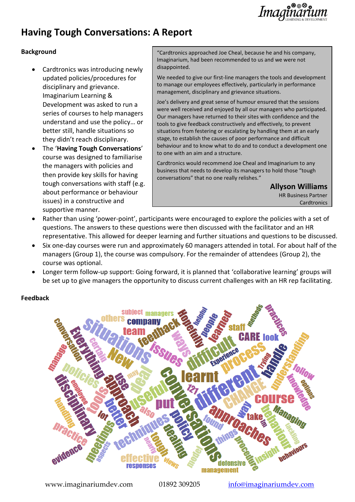

## **Having Tough Conversations: A Report**

## **Background**

- Cardtronics was introducing newly updated policies/procedures for disciplinary and grievance. Imaginarium Learning & Development was asked to run a series of courses to help managers understand and use the policy… or better still, handle situations so they didn't reach disciplinary.
- The '**Having Tough Conversations**' course was designed to familiarise the managers with policies and then provide key skills for having tough conversations with staff (e.g. about performance or behaviour issues) in a constructive and supportive manner.

"Cardtronics approached Joe Cheal, because he and his company, Imaginarium, had been recommended to us and we were not disappointed.

We needed to give our first-line managers the tools and development to manage our employees effectively, particularly in performance management, disciplinary and grievance situations.

Joe's delivery and great sense of humour ensured that the sessions were well received and enjoyed by all our managers who participated. Our managers have returned to their sites with confidence and the tools to give feedback constructively and effectively, to prevent situations from festering or escalating by handling them at an early stage, to establish the causes of poor performance and difficult behaviour and to know what to do and to conduct a development one to one with an aim and a structure.

Cardtronics would recommend Joe Cheal and Imaginarium to any business that needs to develop its managers to hold those "tough conversations" that no one really relishes."

**Allyson Williams**

HR Business Partner **[Cardtronics](http://www.cardtronics.com/)** 

- Rather than using 'power-point', participants were encouraged to explore the policies with a set of questions. The answers to these questions were then discussed with the facilitator and an HR representative. This allowed for deeper learning and further situations and questions to be discussed.
- Six one-day courses were run and approximately 60 managers attended in total. For about half of the managers (Group 1), the course was compulsory. For the remainder of attendees (Group 2), the course was optional.
- Longer term follow-up support: Going forward, it is planned that 'collaborative learning' groups will be set up to give managers the opportunity to discuss current challenges with an HR rep facilitating.

## **Feedback**

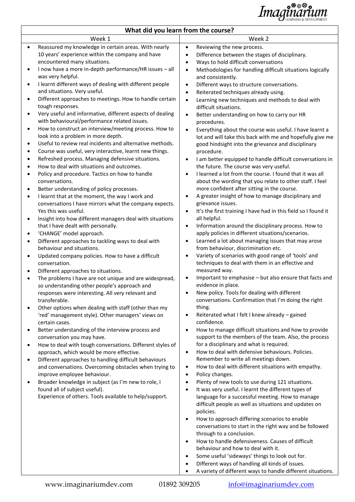

| What did you learn from the course? |                                                                                                           |                |                                                                                                          |  |  |  |
|-------------------------------------|-----------------------------------------------------------------------------------------------------------|----------------|----------------------------------------------------------------------------------------------------------|--|--|--|
|                                     | Week 1                                                                                                    |                | Week 2                                                                                                   |  |  |  |
| $\bullet$                           | Reassured my knowledge in certain areas. With nearly                                                      | $\bullet$      | Reviewing the new process.                                                                               |  |  |  |
|                                     | 10 years' experience within the company and have                                                          | $\bullet$      | Difference between the stages of disciplinary.                                                           |  |  |  |
|                                     | encountered many situations.                                                                              | $\bullet$      | Ways to hold difficult conversations                                                                     |  |  |  |
| $\bullet$                           | I now have a more in-depth performance/HR issues - all<br>was very helpful.                               | $\bullet$      | Methodologies for handling difficult situations logically<br>and consistently.                           |  |  |  |
| ٠                                   | I learnt different ways of dealing with different people<br>and situations. Very useful.                  | $\bullet$<br>٠ | Different ways to structure conversations.<br>Reiterated techniques already using.                       |  |  |  |
| ٠                                   | Different approaches to meetings. How to handle certain                                                   | $\bullet$      | Learning new techniques and methods to deal with                                                         |  |  |  |
|                                     | tough responses.                                                                                          |                | difficult situations.                                                                                    |  |  |  |
| $\bullet$                           | Very useful and informative, different aspects of dealing<br>with behavioural/performance related issues. | $\bullet$      | Better understanding on how to carry our HR<br>procedures.                                               |  |  |  |
| $\bullet$                           | How to construct an interview/meeting process. How to                                                     | $\bullet$      | Everything about the course was useful. I have learnt a                                                  |  |  |  |
|                                     | look into a problem in more depth.                                                                        |                | lot and will take this back with me and hopefully give me                                                |  |  |  |
| $\bullet$                           | Useful to review real incidents and alternative methods.                                                  |                | good hindsight into the grievance and disciplinary                                                       |  |  |  |
| ٠                                   | Course was useful, very interactive, learnt new things.                                                   |                | procedure.                                                                                               |  |  |  |
| ٠                                   | Refreshed process. Managing defensive situations.                                                         | $\bullet$      | I am better equipped to handle difficult conversations in                                                |  |  |  |
| $\bullet$                           | How to deal with situations and outcomes.                                                                 |                | the future. The course was very useful.                                                                  |  |  |  |
| ٠                                   | Policy and procedure. Tactics on how to handle                                                            |                | I learned a lot from the course. I found that it was all                                                 |  |  |  |
| ٠                                   | conversations.<br>Better understanding of policy processes.                                               |                | about the wording that you relate to other staff. I feel<br>more confident after sitting in the course.  |  |  |  |
| $\bullet$                           | I learnt that at the moment, the way I work and                                                           | ٠              | A greater insight of how to manage disciplinary and                                                      |  |  |  |
|                                     | conversations I have mirrors what the company expects.                                                    |                | grievance issues.                                                                                        |  |  |  |
|                                     | Yes this was useful.                                                                                      | $\bullet$      | It's the first training I have had in this field so I found it                                           |  |  |  |
| $\bullet$                           | Insight into how different managers deal with situations                                                  |                | all helpful.                                                                                             |  |  |  |
|                                     | that I have dealt with personally.                                                                        | $\bullet$      | Information around the disciplinary process. How to                                                      |  |  |  |
| $\bullet$                           | 'CHANGE' model approach.                                                                                  |                | apply policies in different situations/scenarios.                                                        |  |  |  |
| $\bullet$                           | Different approaches to tackling ways to deal with                                                        | ٠              | Learned a lot about managing issues that may arose                                                       |  |  |  |
| ٠                                   | behaviour and situations.<br>Updated company policies. How to have a difficult                            |                | from behaviour, discrimination etc.<br>Variety of scenarios with good range of 'tools' and               |  |  |  |
|                                     | conversation.                                                                                             |                | techniques to deal with them in an effective and                                                         |  |  |  |
| ٠                                   | Different approaches to situations.                                                                       | $\bullet$      | measured way.                                                                                            |  |  |  |
| $\bullet$                           | The problems I have are not unique and are widespread,<br>so understanding other people's approach and    |                | Important to emphasise - but also ensure that facts and<br>evidence in place.                            |  |  |  |
|                                     | responses were interesting. All very relevant and                                                         | ٠              | New policy. Tools for dealing with different                                                             |  |  |  |
|                                     | transferable.                                                                                             |                | conversations. Confirmation that I'm doing the right                                                     |  |  |  |
| ٠                                   | Other options when dealing with staff (other than my                                                      |                | thing.                                                                                                   |  |  |  |
|                                     | 'red' management style). Other managers' views on                                                         | $\bullet$      | Reiterated what I felt I knew already - gained                                                           |  |  |  |
|                                     | certain cases.                                                                                            | $\bullet$      | confidence.<br>How to manage difficult situations and how to provide                                     |  |  |  |
| ٠                                   | Better understanding of the interview process and<br>conversation you may have.                           |                | support to the members of the team. Also, the process                                                    |  |  |  |
| ٠                                   | How to deal with tough conversations. Different styles of                                                 |                | for a disciplinary and what is required.                                                                 |  |  |  |
|                                     | approach, which would be more effective.                                                                  | $\bullet$      | How to deal with defensive behaviours. Policies.                                                         |  |  |  |
| ٠                                   | Different approaches to handling difficult behaviours                                                     |                | Remember to write all meetings down.                                                                     |  |  |  |
|                                     | and conversations. Overcoming obstacles when trying to                                                    | $\bullet$      | How to deal with different situations with empathy.                                                      |  |  |  |
|                                     | improve employee behaviour.                                                                               | $\bullet$      | Policy changes.                                                                                          |  |  |  |
| ٠                                   | Broader knowledge in subject (as I'm new to role, I<br>found all of subject useful).                      | ٠<br>$\bullet$ | Plenty of new tools to use during 121 situations.<br>It was very useful. I learnt the different types of |  |  |  |
|                                     | Experience of others. Tools available to help/support.                                                    |                | language for a successful meeting. How to manage                                                         |  |  |  |
|                                     |                                                                                                           |                | difficult people as well as situations and updates on                                                    |  |  |  |
|                                     |                                                                                                           |                | policies.                                                                                                |  |  |  |
|                                     |                                                                                                           | $\bullet$      | How to approach differing scenarios to enable                                                            |  |  |  |
|                                     |                                                                                                           |                | conversations to start in the right way and be followed                                                  |  |  |  |
|                                     |                                                                                                           |                | through to a conclusion.                                                                                 |  |  |  |
|                                     |                                                                                                           | $\bullet$      | How to handle defensiveness. Causes of difficult                                                         |  |  |  |
|                                     |                                                                                                           | $\bullet$      | behaviour and how to deal with it.<br>Some useful 'sideways' things to look out for.                     |  |  |  |
|                                     |                                                                                                           | ٠              | Different ways of handling all kinds of issues.                                                          |  |  |  |
|                                     |                                                                                                           |                | A variety of different ways to handle different situations.                                              |  |  |  |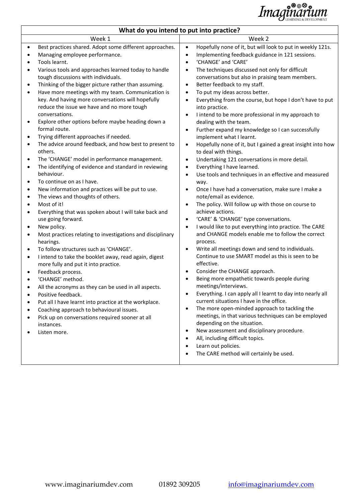

| What do you intend to put into practice?                                                                                                                                                                                                                                                                                                                                                                                                                                                                                                                                                                                                                                                                                                                                                                                                                                                                                                                                                                                                                                                                                                                                                                                                                                                                                                                                                                                                                                                                                                                                                                                                                                                                             |                                                                                                                                                                                                                                                                                                                                                                                                                                                                                                                                                                                                                                                                                                                                                                                                                                                                                                                                                                                                                                                                                                                                                                                                                                                                                                                                                                                                                                                                                                                                                                                                                                                                                                                                                                                                                                                                                                                                                                                                                                                                        |  |  |  |  |
|----------------------------------------------------------------------------------------------------------------------------------------------------------------------------------------------------------------------------------------------------------------------------------------------------------------------------------------------------------------------------------------------------------------------------------------------------------------------------------------------------------------------------------------------------------------------------------------------------------------------------------------------------------------------------------------------------------------------------------------------------------------------------------------------------------------------------------------------------------------------------------------------------------------------------------------------------------------------------------------------------------------------------------------------------------------------------------------------------------------------------------------------------------------------------------------------------------------------------------------------------------------------------------------------------------------------------------------------------------------------------------------------------------------------------------------------------------------------------------------------------------------------------------------------------------------------------------------------------------------------------------------------------------------------------------------------------------------------|------------------------------------------------------------------------------------------------------------------------------------------------------------------------------------------------------------------------------------------------------------------------------------------------------------------------------------------------------------------------------------------------------------------------------------------------------------------------------------------------------------------------------------------------------------------------------------------------------------------------------------------------------------------------------------------------------------------------------------------------------------------------------------------------------------------------------------------------------------------------------------------------------------------------------------------------------------------------------------------------------------------------------------------------------------------------------------------------------------------------------------------------------------------------------------------------------------------------------------------------------------------------------------------------------------------------------------------------------------------------------------------------------------------------------------------------------------------------------------------------------------------------------------------------------------------------------------------------------------------------------------------------------------------------------------------------------------------------------------------------------------------------------------------------------------------------------------------------------------------------------------------------------------------------------------------------------------------------------------------------------------------------------------------------------------------------|--|--|--|--|
| Week 1                                                                                                                                                                                                                                                                                                                                                                                                                                                                                                                                                                                                                                                                                                                                                                                                                                                                                                                                                                                                                                                                                                                                                                                                                                                                                                                                                                                                                                                                                                                                                                                                                                                                                                               | Week 2                                                                                                                                                                                                                                                                                                                                                                                                                                                                                                                                                                                                                                                                                                                                                                                                                                                                                                                                                                                                                                                                                                                                                                                                                                                                                                                                                                                                                                                                                                                                                                                                                                                                                                                                                                                                                                                                                                                                                                                                                                                                 |  |  |  |  |
| Best practices shared. Adopt some different approaches.<br>$\bullet$<br>Managing employee performance.<br>$\bullet$<br>Tools learnt.<br>$\bullet$<br>Various tools and approaches learned today to handle<br>tough discussions with individuals.<br>Thinking of the bigger picture rather than assuming.<br>Have more meetings with my team. Communication is<br>$\bullet$<br>key. And having more conversations will hopefully<br>reduce the issue we have and no more tough<br>conversations.<br>Explore other options before maybe heading down a<br>٠<br>formal route.<br>Trying different approaches if needed.<br>٠<br>The advice around feedback, and how best to present to<br>$\bullet$<br>others.<br>The 'CHANGE' model in performance management.<br>٠<br>The identifying of evidence and standard in reviewing<br>$\bullet$<br>behaviour.<br>To continue on as I have.<br>New information and practices will be put to use.<br>$\bullet$<br>The views and thoughts of others.<br>٠<br>Most of it!<br>$\bullet$<br>Everything that was spoken about I will take back and<br>$\bullet$<br>use going forward.<br>New policy.<br>٠<br>Most practices relating to investigations and disciplinary<br>$\bullet$<br>hearings.<br>To follow structures such as 'CHANGE'.<br>I intend to take the booklet away, read again, digest<br>$\bullet$<br>more fully and put it into practice.<br>Feedback process.<br>$\bullet$<br>'CHANGE' method.<br>All the acronyms as they can be used in all aspects.<br>Positive feedback.<br>Put all I have learnt into practice at the workplace.<br>Coaching approach to behavioural issues.<br>Pick up on conversations required sooner at all<br>instances.<br>Listen more. | Hopefully none of it, but will look to put in weekly 121s.<br>$\bullet$<br>Implementing feedback guidance in 121 sessions.<br>$\bullet$<br>'CHANGE' and 'CARE'<br>$\bullet$<br>The techniques discussed not only for difficult<br>$\bullet$<br>conversations but also in praising team members.<br>Better feedback to my staff.<br>$\bullet$<br>To put my ideas across better.<br>$\bullet$<br>Everything from the course, but hope I don't have to put<br>$\bullet$<br>into practice.<br>I intend to be more professional in my approach to<br>$\bullet$<br>dealing with the team.<br>Further expand my knowledge so I can successfully<br>$\bullet$<br>implement what I learnt.<br>Hopefully none of it, but I gained a great insight into how<br>$\bullet$<br>to deal with things.<br>Undertaking 121 conversations in more detail.<br>$\bullet$<br>Everything I have learned.<br>$\bullet$<br>Use tools and techniques in an effective and measured<br>$\bullet$<br>way.<br>Once I have had a conversation, make sure I make a<br>note/email as evidence.<br>The policy. Will follow up with those on course to<br>$\bullet$<br>achieve actions.<br>'CARE' & 'CHANGE' type conversations.<br>$\bullet$<br>I would like to put everything into practice. The CARE<br>$\bullet$<br>and CHANGE models enable me to follow the correct<br>process.<br>Write all meetings down and send to individuals.<br>Continue to use SMART model as this is seen to be<br>effective.<br>Consider the CHANGE approach.<br>$\bullet$<br>Being more empathetic towards people during<br>meetings/interviews.<br>Everything. I can apply all I learnt to day into nearly all<br>$\bullet$<br>current situations I have in the office.<br>The more open-minded approach to tackling the<br>$\bullet$<br>meetings, in that various techniques can be employed<br>depending on the situation.<br>New assessment and disciplinary procedure.<br>$\bullet$<br>All, including difficult topics.<br>Learn out policies.<br>$\bullet$<br>The CARE method will certainly be used.<br>$\bullet$ |  |  |  |  |
|                                                                                                                                                                                                                                                                                                                                                                                                                                                                                                                                                                                                                                                                                                                                                                                                                                                                                                                                                                                                                                                                                                                                                                                                                                                                                                                                                                                                                                                                                                                                                                                                                                                                                                                      |                                                                                                                                                                                                                                                                                                                                                                                                                                                                                                                                                                                                                                                                                                                                                                                                                                                                                                                                                                                                                                                                                                                                                                                                                                                                                                                                                                                                                                                                                                                                                                                                                                                                                                                                                                                                                                                                                                                                                                                                                                                                        |  |  |  |  |